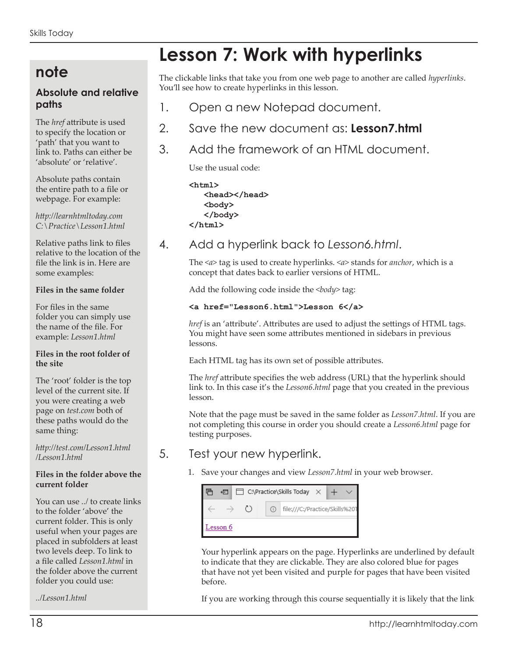## **note**

## **Absolute and relative paths**

The *href* attribute is used to specify the location or 'path' that you want to link to. Paths can either be 'absolute' or 'relative'.

Absolute paths contain the entire path to a file or webpage. For example:

*http://learnhtmltoday.com C:\Practice\Lesson1.html*

Relative paths link to files relative to the location of the file the link is in. Here are some examples:

#### **Files in the same folder**

For files in the same folder you can simply use the name of the file. For example: *Lesson1.html*

#### **Files in the root folder of the site**

The 'root' folder is the top level of the current site. If you were creating a web page on *test.com* both of these paths would do the same thing:

*http://test.com/Lesson1.html /Lesson1.html*

#### **Files in the folder above the current folder**

You can use *../* to create links to the folder 'above' the current folder. This is only useful when your pages are placed in subfolders at least two levels deep. To link to a file called *Lesson1.html* in the folder above the current folder you could use:

*../Lesson1.html*

# **Lesson 7: Work with hyperlinks**

The clickable links that take you from one web page to another are called *hyperlinks*. You'll see how to create hyperlinks in this lesson.

- 1. Open a new Notepad document.
- 2. Save the new document as: **Lesson7.html**
- 3. Add the framework of an HTML document.

Use the usual code:

**<html> <head></head> <body> </body> </html>**

## 4. Add a hyperlink back to *Lesson6.html*.

The *<a>* tag is used to create hyperlinks. *<a>* stands for *anchor*, which is a concept that dates back to earlier versions of HTML.

Add the following code inside the <br/>body> tag:

#### **<a href="Lesson6.html">Lesson 6</a>**

*href* is an 'attribute'. Attributes are used to adjust the settings of HTML tags. You might have seen some attributes mentioned in sidebars in previous lessons.

Each HTML tag has its own set of possible attributes.

The *href* attribute specifies the web address (URL) that the hyperlink should link to. In this case it's the *Lesson6.html* page that you created in the previous lesson.

Note that the page must be saved in the same folder as *Lesson7.html*. If you are not completing this course in order you should create a *Lesson6.html* page for testing purposes.

## 5. Test your new hyperlink.

1. Save your changes and view *Lesson7.html* in your web browser.

|          |  | 4 日 □ C:\Practice\Skills Today $\times$ + $\vee$ |  |  |                                    |  |  |  |
|----------|--|--------------------------------------------------|--|--|------------------------------------|--|--|--|
|          |  | $\leftarrow$ $\rightarrow$ 0                     |  |  | O   file:///C:/Practice/Skills%201 |  |  |  |
| Lesson 6 |  |                                                  |  |  |                                    |  |  |  |

Your hyperlink appears on the page. Hyperlinks are underlined by default to indicate that they are clickable. They are also colored blue for pages that have not yet been visited and purple for pages that have been visited before.

If you are working through this course sequentially it is likely that the link